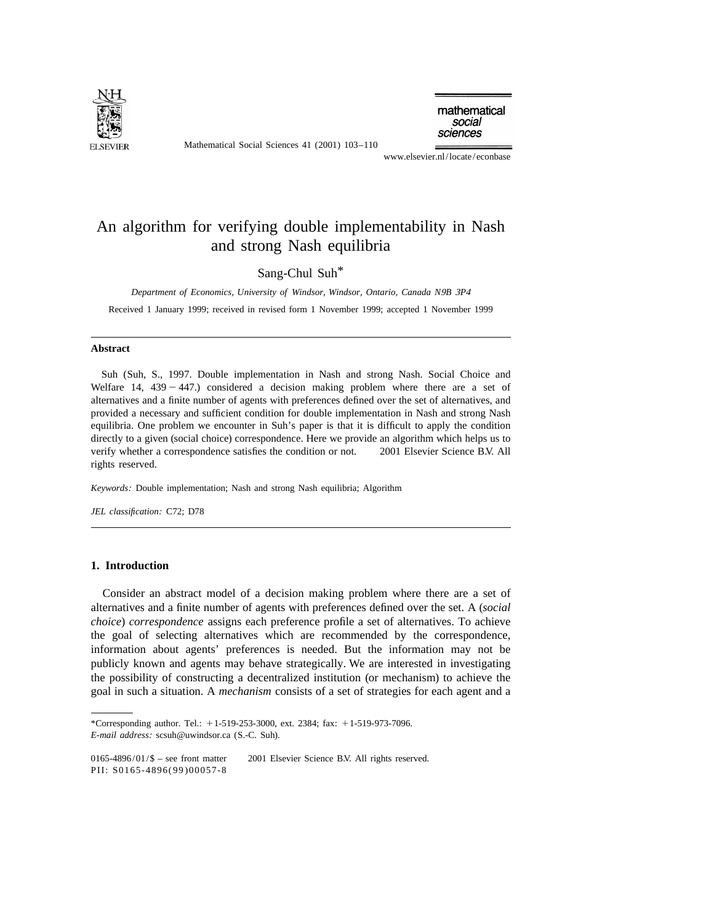

Mathematical Social Sciences 41 (2001) 103–110

mathematical social sciences

www.elsevier.nl/locate/econbase

## An algorithm for verifying double implementability in Nash and strong Nash equilibria

Sang-Chul Suh\*

*Department of Economics*, *University of Windsor*, *Windsor*, *Ontario*, *Canada N*9*B* <sup>3</sup>*P*<sup>4</sup>

Received 1 January 1999; received in revised form 1 November 1999; accepted 1 November 1999

#### **Abstract**

Suh (Suh, S., 1997. Double implementation in Nash and strong Nash. Social Choice and Welfare 14,  $439 - 447$ .) considered a decision making problem where there are a set of alternatives and a finite number of agents with preferences defined over the set of alternatives, and provided a necessary and sufficient condition for double implementation in Nash and strong Nash equilibria. One problem we encounter in Suh's paper is that it is difficult to apply the condition directly to a given (social choice) correspondence. Here we provide an algorithm which helps us to verify whether a correspondence satisfies the condition or not.  $\degree$  2001 Elsevier Science B.V. All rights reserved.

*Keywords*: Double implementation; Nash and strong Nash equilibria; Algorithm

*JEL classification*: C72; D78

#### **1. Introduction**

Consider an abstract model of a decision making problem where there are a set of alternatives and a finite number of agents with preferences defined over the set. A (*social choice*) *correspondence* assigns each preference profile a set of alternatives. To achieve the goal of selecting alternatives which are recommended by the correspondence, information about agents' preferences is needed. But the information may not be publicly known and agents may behave strategically. We are interested in investigating the possibility of constructing a decentralized institution (or mechanism) to achieve the goal in such a situation. A *mechanism* consists of a set of strategies for each agent and a

<sup>\*</sup>Corresponding author. Tel.:  $+1-519-253-3000$ , ext. 2384; fax:  $+1-519-973-7096$ . *E*-*mail address*: scsuh@uwindsor.ca (S.-C. Suh).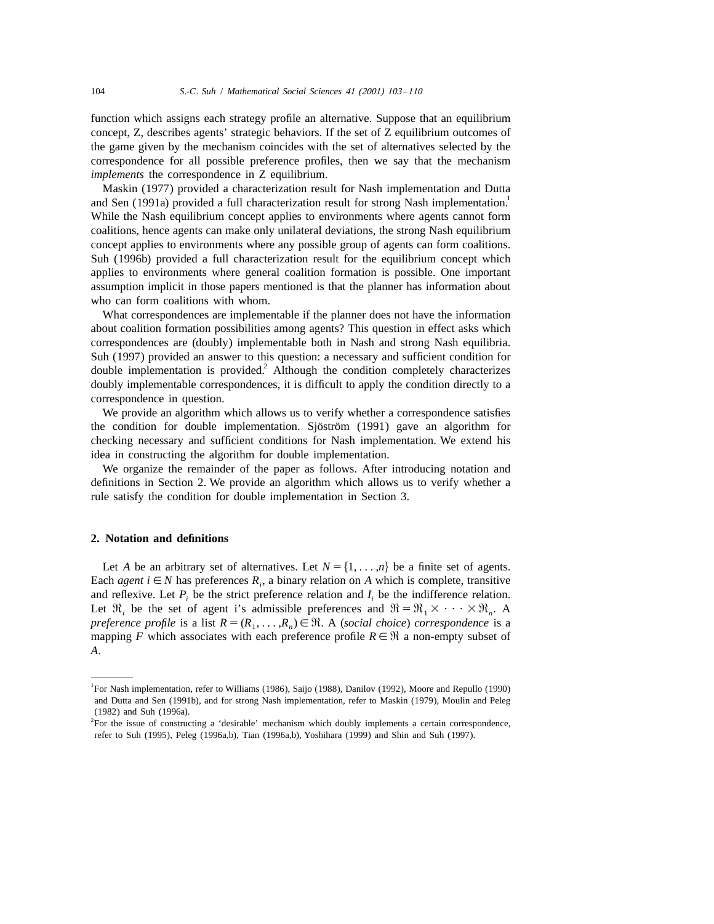function which assigns each strategy profile an alternative. Suppose that an equilibrium concept, Z, describes agents' strategic behaviors. If the set of Z equilibrium outcomes of the game given by the mechanism coincides with the set of alternatives selected by the correspondence for all possible preference profiles, then we say that the mechanism *implements* the correspondence in Z equilibrium.

Maskin (1977) provided a characterization result for Nash implementation and Dutta<br>and Sen (1991a) provided a full characterization result for strong Nash implementation.<sup>1</sup> While the Nash equilibrium concept applies to environments where agents cannot form coalitions, hence agents can make only unilateral deviations, the strong Nash equilibrium concept applies to environments where any possible group of agents can form coalitions. Suh (1996b) provided a full characterization result for the equilibrium concept which applies to environments where general coalition formation is possible. One important assumption implicit in those papers mentioned is that the planner has information about who can form coalitions with whom.

What correspondences are implementable if the planner does not have the information about coalition formation possibilities among agents? This question in effect asks which correspondences are (doubly) implementable both in Nash and strong Nash equilibria. Suh (1997) provided an answer to this question: a necessary and sufficient condition for double implementation is provided.<sup>2</sup> Although the condition completely characterizes doubly implementable correspondences, it is difficult to apply the condition directly to a correspondence in question.

We provide an algorithm which allows us to verify whether a correspondence satisfies the condition for double implementation. Sjöström  $(1991)$  gave an algorithm for checking necessary and sufficient conditions for Nash implementation. We extend his idea in constructing the algorithm for double implementation.

We organize the remainder of the paper as follows. After introducing notation and definitions in Section 2. We provide an algorithm which allows us to verify whether a rule satisfy the condition for double implementation in Section 3.

### **2. Notation and definitions**

Let *A* be an arbitrary set of alternatives. Let  $N = \{1, \ldots, n\}$  be a finite set of agents. Each *agent*  $i \in N$  has preferences  $R_i$ , a binary relation on A which is complete, transitive and reflexive. Let  $P_i$  be the strict preference relation and  $I_i$  be the indifference relation. Let  $\mathfrak{R}_i$  be the set of agent i's admissible preferences and  $\mathfrak{R} = \mathfrak{R}_1 \times \cdots \times \mathfrak{R}_n$ . A *preference profile* is a list  $R = (R_1, \ldots, R_n) \in \mathbb{R}$ . A (*social choice*) *correspondence* is a mapping *F* which associates with each preference profile  $R \in \mathcal{R}$  a non-empty subset of *A*.

<sup>1</sup> For Nash implementation, refer to Williams (1986), Saijo (1988), Danilov (1992), Moore and Repullo (1990) and Dutta and Sen (1991b), and for strong Nash implementation, refer to Maskin (1979), Moulin and Peleg (1982) and Suh (1996a).

<sup>2</sup> For the issue of constructing a 'desirable' mechanism which doubly implements a certain correspondence, refer to Suh (1995), Peleg (1996a,b), Tian (1996a,b), Yoshihara (1999) and Shin and Suh (1997).